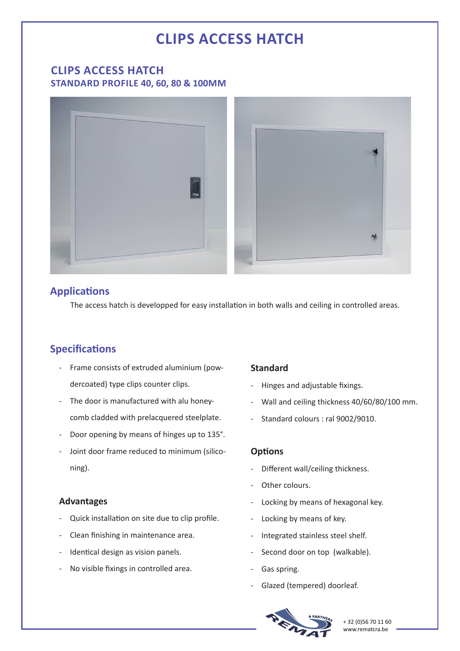# **CLIPS ACCESS HATCH**

## **CLIPS ACCESS HATCH STANDARD PROFILE 40, 60, 80 & 100MM**



# **Applications**

The access hatch is developped for easy installation in both walls and ceiling in controlled areas.

# **Specifications**

- Frame consists of extruded aluminium (powdercoated) type clips counter clips.
- The door is manufactured with alu honeycomb cladded with prelacquered steelplate.
- Door opening by means of hinges up to 135°.
- Joint door frame reduced to minimum (siliconing).

### **Advantages**

- Quick installation on site due to clip profile.
- Clean finishing in maintenance area.
- Identical design as vision panels.
- No visible fixings in controlled area.

## **Standard**

- Hinges and adjustable fixings.
- Wall and ceiling thickness 40/60/80/100 mm.
- Standard colours : ral 9002/9010.

#### **Options**

- Different wall/ceiling thickness.
- Other colours.
- Locking by means of hexagonal key.
- Locking by means of key.
- Integrated stainless steel shelf.
- Second door on top (walkable).
- Gas spring.
- Glazed (tempered) doorleaf.